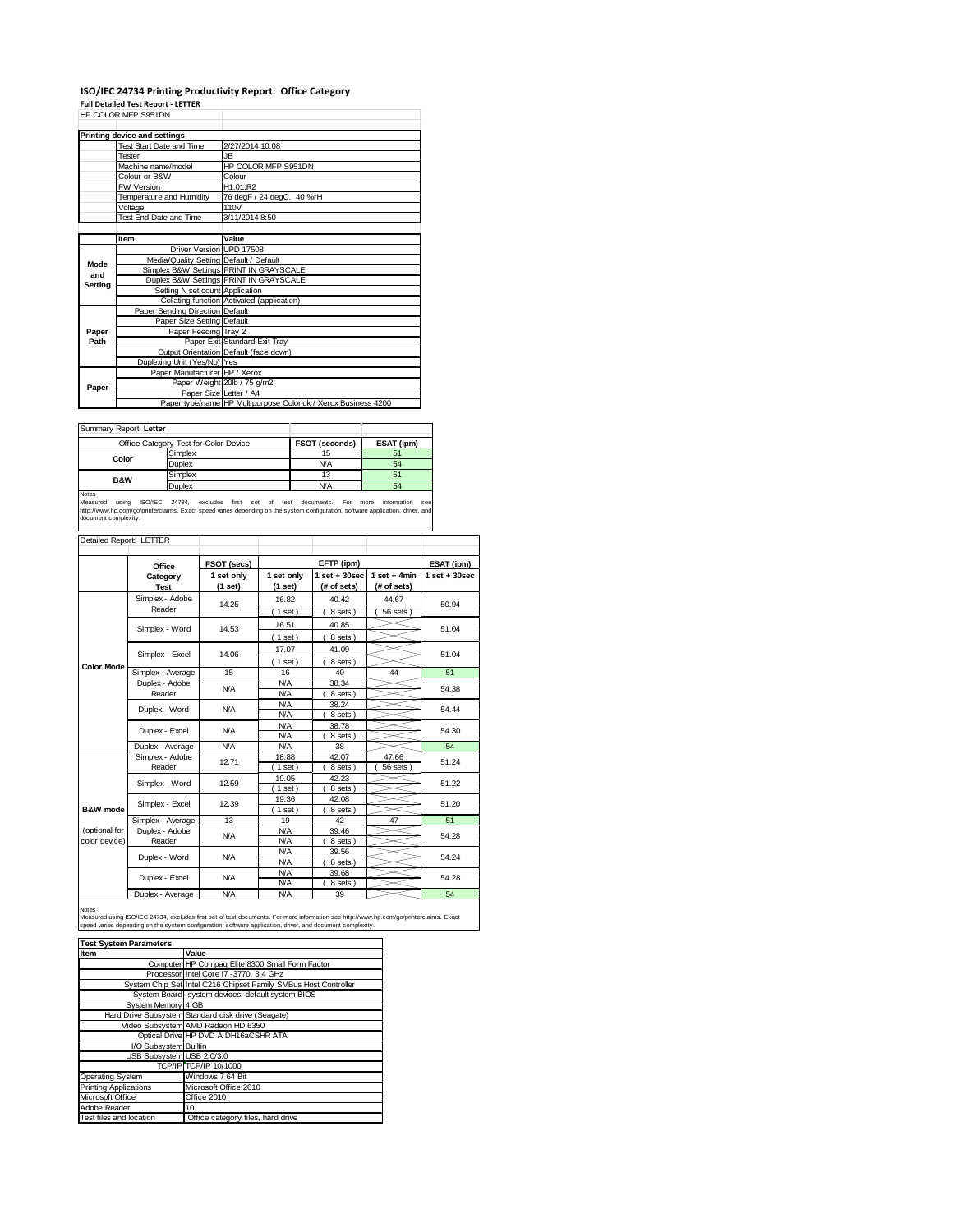## **ISO/IEC 24734 Printing Productivity Report: Office Category**

**Full Detailed Test Report ‐ LETTER** HP COLOR MFP S951DN

|         | HP COLOR MFP S951DN                     |                                                                |  |
|---------|-----------------------------------------|----------------------------------------------------------------|--|
|         | Printing device and settings            |                                                                |  |
|         | <b>Test Start Date and Time</b>         | 2/27/2014 10:08                                                |  |
|         | Tester                                  | <b>JB</b>                                                      |  |
|         | Machine name/model                      | HP COLOR MFP S951DN                                            |  |
|         | Colour or B&W                           | Colour                                                         |  |
|         | <b>FW Version</b>                       | H1.01.R2                                                       |  |
|         | Temperature and Humidity                | 76 degF / 24 degC, 40 %rH                                      |  |
|         | Voltage                                 | 110V                                                           |  |
|         | Test End Date and Time                  | 3/11/2014 8:50                                                 |  |
|         |                                         |                                                                |  |
|         | Item                                    | Value                                                          |  |
|         | Driver Version UPD 17508                |                                                                |  |
| Mode    | Media/Quality Setting Default / Default |                                                                |  |
| and     |                                         | Simplex B&W Settings PRINT IN GRAYSCALE                        |  |
| Setting |                                         | Duplex B&W Settings PRINT IN GRAYSCALE                         |  |
|         | Setting N set count Application         |                                                                |  |
|         |                                         | Collating function Activated (application)                     |  |
|         | Paper Sending Direction Default         |                                                                |  |
|         | Paper Size Setting Default              |                                                                |  |
| Paper   | Paper Feeding Tray 2                    |                                                                |  |
| Path    |                                         | Paper Exit Standard Exit Tray                                  |  |
|         |                                         | Output Orientation Default (face down)                         |  |
|         | Duplexing Unit (Yes/No) Yes             |                                                                |  |
|         | Paper Manufacturer HP / Xerox           |                                                                |  |
| Paper   |                                         | Paper Weight 20lb / 75 g/m2                                    |  |
|         | Paper Size Letter / A4                  |                                                                |  |
|         |                                         | Paper type/name HP Multipurpose Colorlok / Xerox Business 4200 |  |

Summary Report: **Letter**

| <b>OUTHER Y RODOL LOUGH</b> |                                       |                |            |
|-----------------------------|---------------------------------------|----------------|------------|
|                             | Office Category Test for Color Device | FSOT (seconds) | ESAT (ipm) |
|                             | Simplex                               | 15             | 51         |
| Color                       | Duplex                                | <b>N/A</b>     | 54         |
| <b>B&amp;W</b>              | Simplex                               | 13             | 51         |
|                             | Duplex                                | <b>N/A</b>     | 54         |
| Notes                       |                                       |                |            |

Notes<br>Measured using ISO/IEC 24734, excludes first set of test documents. For more information see<br>http://www.hp.com/go/printerclaims.Exactspeed.varies.depending.on.the.system.configuration,software.application,driver,and<br>

| Detailed Report: LETTER        |                                 |                       |                          |                                  |                               |                   |
|--------------------------------|---------------------------------|-----------------------|--------------------------|----------------------------------|-------------------------------|-------------------|
|                                | Office                          | FSOT (secs)           |                          | EFTP (ipm)                       |                               | ESAT (ipm)        |
|                                | Category<br><b>Test</b>         | 1 set only<br>(1 set) | 1 set only<br>(1 set)    | $1$ set $+30$ sec<br>(# of sets) | $1$ set + 4min<br>(# of sets) | $1$ set $+30$ sec |
|                                | Simplex - Adobe<br>Reader       | 14.25                 | 16.82<br>(1 set)         | 40.42<br>8 sets)                 | 44.67<br>56 sets              | 50.94             |
|                                | Simplex - Word                  | 14.53                 | 16.51<br>$1$ set)        | 40.85<br>8 sets)                 |                               | 51.04             |
|                                | Simplex - Excel                 | 14.06                 | 17.07<br>$1$ set)        | 41.09<br>8 sets)                 |                               | 51.04             |
| <b>Color Mode</b>              | Simplex - Average               | 15                    | 16                       | 40                               | 44                            | 51                |
|                                | Duplex - Adobe<br>N/A<br>Reader |                       | <b>N/A</b><br><b>N/A</b> | 38.34<br>8 sets)                 |                               | 54.38             |
|                                | Duplex - Word                   | <b>N/A</b>            | <b>N/A</b><br><b>N/A</b> | 38.24<br>8 sets)                 |                               | 54.44             |
|                                | Duplex - Excel                  | N/A                   | <b>N/A</b><br><b>N/A</b> | 38.78<br>8 sets)                 |                               | 54.30             |
|                                | Duplex - Average                | <b>N/A</b>            | <b>N/A</b>               | 38                               |                               | 54                |
|                                | Simplex - Adobe<br>Reader       | 12.71                 | 18.88<br>$1$ set)        | 42.07<br>8 sets                  | 47.66<br>56 sets              | 51.24             |
|                                | Simplex - Word                  | 12.59                 | 19.05<br>$1$ set)        | 42.23<br>8 sets)                 |                               | 51.22             |
| B&W mode                       | Simplex - Excel                 | 12.39                 | 19.36<br>$1$ set)        | 42.08<br>8 sets)                 |                               | 51.20             |
|                                | Simplex - Average               | 13                    | 19                       | 42                               | 47                            | 51                |
| (optional for<br>color device) | Duplex - Adobe<br>Reader        | N/A                   | <b>N/A</b><br><b>N/A</b> | 39.46<br>8 sets)                 |                               | 54.28             |
|                                | Duplex - Word                   | <b>N/A</b>            | <b>N/A</b><br><b>N/A</b> | 39.56<br>8 sets)                 |                               | 54.24             |
|                                | Duplex - Excel                  | <b>N/A</b>            | <b>N/A</b><br><b>N/A</b> | 39.68<br>8 sets                  |                               | 54.28             |
|                                | Duplex - Average                | N/A                   | <b>N/A</b>               | 39                               |                               | 54                |

Notes<br>Measured using ISO/IEC 24734, excludes first set of test documents. For more information see http://www.hp.com/go/printerclaims. Exact<br>speed varies depending on the system configuration, software application, driver,

| <b>Test System Parameters</b> |                                                                 |  |  |  |
|-------------------------------|-----------------------------------------------------------------|--|--|--|
| Item                          | Value                                                           |  |  |  |
|                               | Computer HP Compaq Elite 8300 Small Form Factor                 |  |  |  |
|                               | Processor Intel Core i7 -3770, 3.4 GHz                          |  |  |  |
|                               | System Chip Set Intel C216 Chipset Family SMBus Host Controller |  |  |  |
|                               | System Board system devices, default system BIOS                |  |  |  |
| System Memory 4 GB            |                                                                 |  |  |  |
|                               | Hard Drive Subsystem Standard disk drive (Seagate)              |  |  |  |
|                               | Video Subsystem AMD Radeon HD 6350                              |  |  |  |
|                               | Optical Drive HP DVD A DH16aCSHR ATA                            |  |  |  |
| I/O Subsystem Builtin         |                                                                 |  |  |  |
| USB Subsystem USB 2.0/3.0     |                                                                 |  |  |  |
|                               | TCP/IP TCP/IP 10/1000                                           |  |  |  |
| Operating System              | Windows 7 64 Bit                                                |  |  |  |
| <b>Printing Applications</b>  | Microsoft Office 2010                                           |  |  |  |
| Microsoft Office              | Office 2010                                                     |  |  |  |
| Adobe Reader                  | 10                                                              |  |  |  |
| Test files and location       | Office category files, hard drive                               |  |  |  |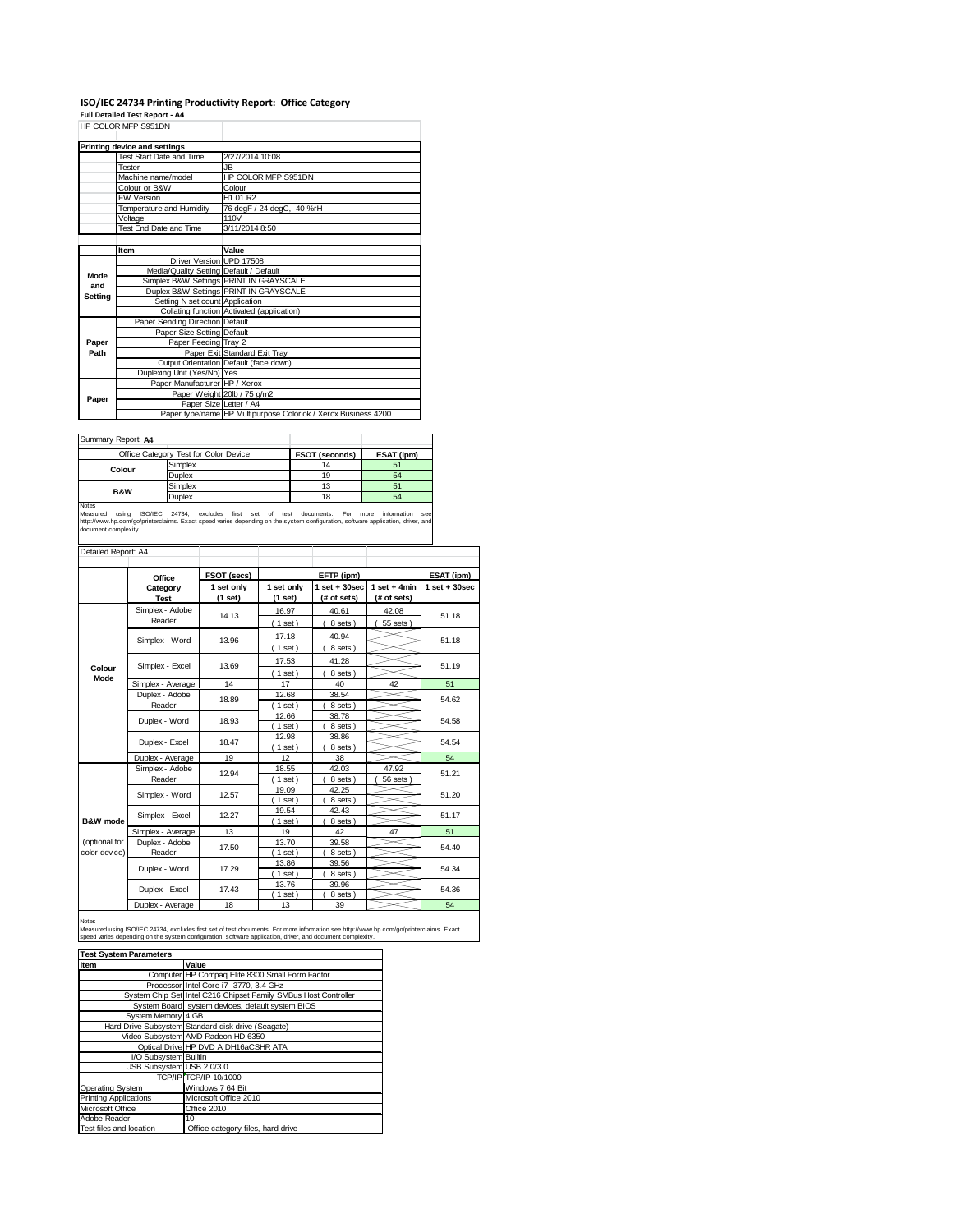## **ISO/IEC 24734 Printing Productivity Report: Office Category Full Detailed Test Report ‐ A4**

|         | HP COLOR MFP S951DN                     |                                                                |
|---------|-----------------------------------------|----------------------------------------------------------------|
|         | Printing device and settings            |                                                                |
|         | Test Start Date and Time                | 2/27/2014 10:08                                                |
|         | Tester                                  | JB.                                                            |
|         | Machine name/model                      | HP COLOR MFP S951DN                                            |
|         | Colour or B&W                           | Colour                                                         |
|         | FW Version                              | H1.01.R2                                                       |
|         | Temperature and Humidity                | 76 degF / 24 degC, 40 %rH                                      |
|         | Voltage                                 | 110V                                                           |
|         | Test End Date and Time                  | 3/11/2014 8:50                                                 |
|         |                                         |                                                                |
|         | Item                                    | Value                                                          |
|         | Driver Version UPD 17508                |                                                                |
| Mode    | Media/Quality Setting Default / Default |                                                                |
| and     |                                         | Simplex B&W Settings PRINT IN GRAYSCALE                        |
| Setting |                                         | Duplex B&W Settings PRINT IN GRAYSCALE                         |
|         | Setting N set count Application         |                                                                |
|         |                                         | Collating function Activated (application)                     |
|         | Paper Sending Direction Default         |                                                                |
|         | Paper Size Setting Default              |                                                                |
| Paper   | Paper Feeding Tray 2                    |                                                                |
| Path    |                                         | Paper Exit Standard Exit Tray                                  |
|         |                                         | Output Orientation Default (face down)                         |
|         | Duplexing Unit (Yes/No) Yes             |                                                                |
|         | Paper Manufacturer HP / Xerox           |                                                                |
| Paper   |                                         | Paper Weight 20lb / 75 g/m2                                    |
|         | Paper Size Letter / A4                  |                                                                |
|         |                                         | Paper type/name HP Multipurpose Colorlok / Xerox Business 4200 |

| Summary Report: A4 |                                       |                |            |
|--------------------|---------------------------------------|----------------|------------|
|                    | Office Category Test for Color Device | FSOT (seconds) | ESAT (ipm) |
| Colour             | Simplex                               | 14             | 51         |
|                    | Duplex                                | 19             | 54         |
| <b>B&amp;W</b>     | Simplex                               | 13             | 51         |
|                    | Duplex                                | 18             | 54         |
| <b>Moton</b>       |                                       |                |            |

Notes **During Collection**<br>Measured using ISO/IEC 24734, excludes first set of test documents. For more information see<br>http://www.hp.com/go/printerclaims. Exact speed varies depending on the system configuration, software

| Detailed Report: A4            |                           |                       |                         |                                  |                               |                   |  |
|--------------------------------|---------------------------|-----------------------|-------------------------|----------------------------------|-------------------------------|-------------------|--|
|                                | Office                    | FSOT (secs)           |                         | EFTP (ipm)                       |                               | ESAT (ipm)        |  |
|                                | Category<br><b>Test</b>   | 1 set only<br>(1 set) | 1 set only<br>$(1$ set) | $1$ set $+30$ sec<br>(# of sets) | $1$ set + 4min<br>(# of sets) | $1$ set $+30$ sec |  |
|                                | Simplex - Adobe<br>Reader | 14.13                 | 16.97<br>$1$ set)       | 40.61<br>8 sets)                 | 42.08<br>55 sets              | 51.18             |  |
|                                | Simplex - Word            | 13.96                 | 17.18<br>$1$ set)       | 40.94<br>8 sets)                 |                               | 51.18             |  |
| Colour                         | Simplex - Excel           | 13.69                 | 17.53<br>(1 set)        | 41.28<br>8 sets)                 |                               | 51.19             |  |
| Mode                           | Simplex - Average         | 14                    | 17                      | 40                               | 42                            | 51                |  |
|                                | Duplex - Adobe<br>Reader  | 18.89                 | 12.68<br>$1$ set)       | 38.54<br>8 sets)                 |                               | 54.62             |  |
|                                | Duplex - Word             | 18.93                 | 12.66<br>$1$ set)       | 38.78<br>8 sets)                 |                               | 54.58             |  |
|                                | Duplex - Excel            | 18.47                 | 12.98<br>$1$ set)       | 38.86<br>8 sets )                |                               | 54.54             |  |
|                                | Duplex - Average          | 19                    | 12                      | 38                               |                               | 54                |  |
|                                | Simplex - Adobe<br>Reader | 12.94                 | 18.55<br>$1$ set)       | 42.03<br>8 sets)                 | 47.92<br>56 sets              | 51.21             |  |
|                                | Simplex - Word            | 12.57                 | 19.09<br>$1$ set)       | 42.25<br>8 sets)                 |                               | 51.20             |  |
| B&W mode                       | Simplex - Excel           | 12.27                 | 19.54<br>$1$ set)       | 42.43<br>8 sets)                 |                               | 51.17             |  |
|                                | Simplex - Average         | 13                    | 19                      | 42                               | 47                            | 51                |  |
| (optional for<br>color device) | Duplex - Adobe<br>Reader  | 17.50                 | 13.70<br>$1$ set)       | 39.58<br>8 sets)                 |                               | 54.40             |  |
|                                | Duplex - Word             | 17.29                 | 13.86<br>$1$ set)       | 39.56<br>8 sets)                 |                               | 54.34             |  |
|                                | Duplex - Excel            | 17.43                 | 13.76<br>$1$ set)       | 39.96<br>8 sets)                 |                               | 54.36             |  |
|                                | Duplex - Average          | 18                    | 13                      | 39                               |                               | 54                |  |

#### Notes

Measured using ISO/IEC 24734, excludes first set of test documents. For more information see http://www.hp.com/go/printerclaims. Exact<br>speed varies depending on the system configuration, software application, driver, and d

| <b>Test System Parameters</b> |                                                                 |
|-------------------------------|-----------------------------------------------------------------|
| Item                          | Value                                                           |
|                               | Computer HP Compag Elite 8300 Small Form Factor                 |
|                               | Processor Intel Core i7 -3770, 3.4 GHz                          |
|                               | System Chip Set Intel C216 Chipset Family SMBus Host Controller |
|                               | System Board system devices, default system BIOS                |
| System Memory 4 GB            |                                                                 |
|                               | Hard Drive Subsystem Standard disk drive (Seagate)              |
|                               | Video Subsystem AMD Radeon HD 6350                              |
|                               | Optical Drive HP DVD A DH16aCSHR ATA                            |
| I/O Subsystem Builtin         |                                                                 |
| USB Subsystem USB 2.0/3.0     |                                                                 |
|                               | TCP/IP TCP/IP 10/1000                                           |
| Operating System              | Windows 7 64 Bit                                                |
| <b>Printing Applications</b>  | Microsoft Office 2010                                           |
| Microsoft Office              | Office 2010                                                     |
| Adobe Reader                  | 10                                                              |
| Test files and location       | Office category files, hard drive                               |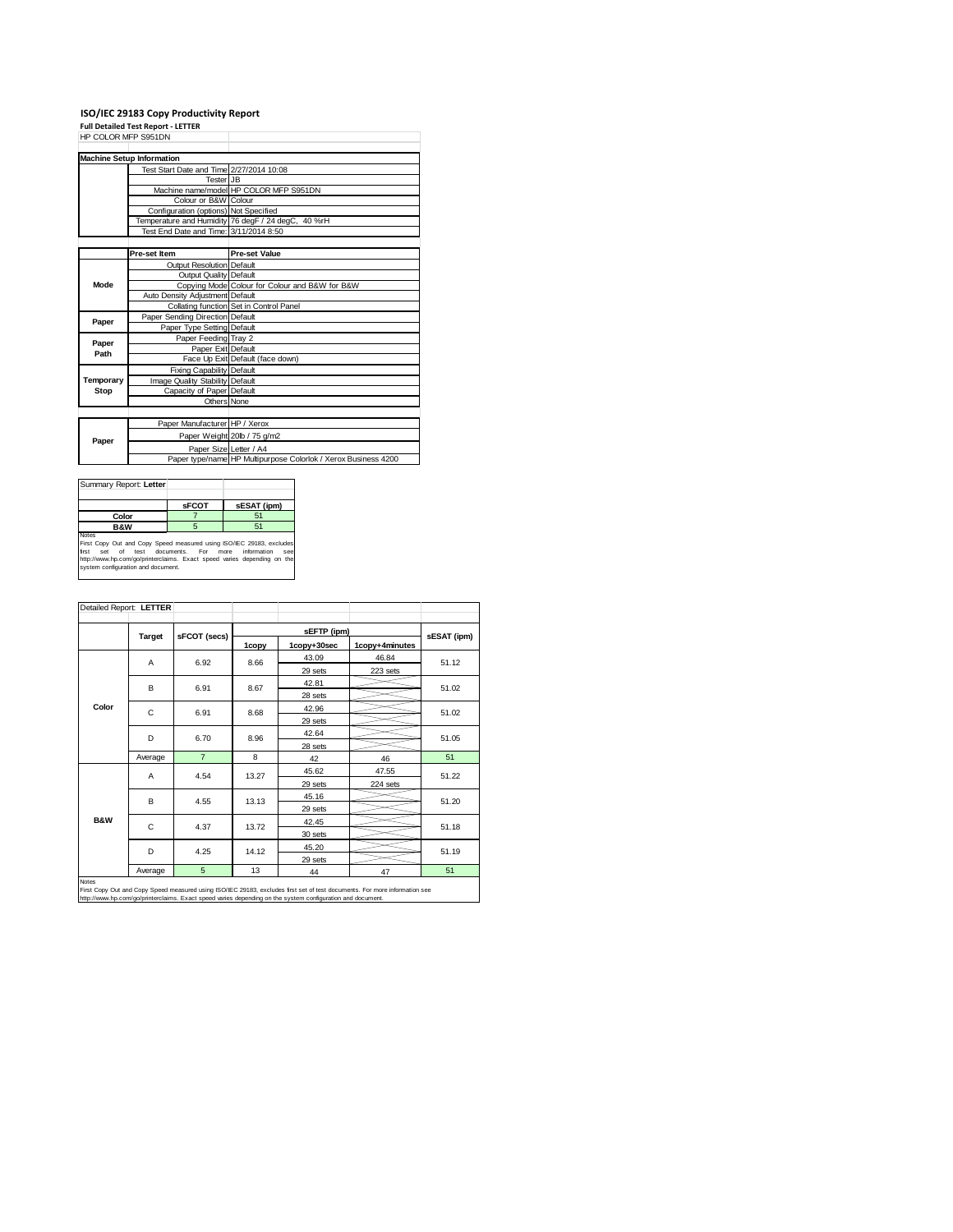# **ISO/IEC 29183 Copy Productivity Report Full Detailed Test Report ‐ LETTER** HP COLOR MFP S951DN

|           | <b>Machine Setup Information</b>         |                                                                |
|-----------|------------------------------------------|----------------------------------------------------------------|
|           | Test Start Date and Time 2/27/2014 10:08 |                                                                |
|           | <b>Tester JB</b>                         |                                                                |
|           |                                          | Machine name/model HP COLOR MFP S951DN                         |
|           | Colour or B&W Colour                     |                                                                |
|           | Configuration (options) Not Specified    |                                                                |
|           |                                          | Temperature and Humidity 76 degF / 24 degC, 40 %rH             |
|           | Test End Date and Time: 3/11/2014 8:50   |                                                                |
|           |                                          |                                                                |
|           | Pre-set Item                             | <b>Pre-set Value</b>                                           |
|           | Output Resolution Default                |                                                                |
|           | Output Quality Default                   |                                                                |
| Mode      |                                          | Copying Mode Colour for Colour and B&W for B&W                 |
|           | Auto Density Adjustment Default          |                                                                |
|           |                                          | Collating function Set in Control Panel                        |
| Paper     | Paper Sending Direction Default          |                                                                |
|           | Paper Type Setting Default               |                                                                |
| Paper     | Paper Feeding Tray 2                     |                                                                |
| Path      | Paper Exit Default                       |                                                                |
|           |                                          | Face Up Exit Default (face down)                               |
|           | <b>Fixing Capability Default</b>         |                                                                |
| Temporary | Image Quality Stability Default          |                                                                |
| Stop      | Capacity of Paper Default                |                                                                |
|           | Others None                              |                                                                |
|           |                                          |                                                                |
|           | Paper Manufacturer HP / Xerox            |                                                                |
| Paper     |                                          | Paper Weight 20lb / 75 g/m2                                    |
|           | Paper Size Letter / A4                   |                                                                |
|           |                                          | Paper type/name HP Multipurpose Colorlok / Xerox Business 4200 |

| Summary Report: Letter                                                                                                                                                                                                                                                  |              |             |  |  |
|-------------------------------------------------------------------------------------------------------------------------------------------------------------------------------------------------------------------------------------------------------------------------|--------------|-------------|--|--|
|                                                                                                                                                                                                                                                                         | <b>SFCOT</b> | sESAT (ipm) |  |  |
| Color                                                                                                                                                                                                                                                                   |              | 51          |  |  |
| <b>B&amp;W</b>                                                                                                                                                                                                                                                          | 5            | 51          |  |  |
| <b>Notes</b><br>First Copy Out and Copy Speed measured using ISO/IEC 29183, excludes<br>set of test documents. For more<br>first<br>information<br>SAR<br>http://www.hp.com/go/printerclaims. Exact speed varies depending on the<br>system configuration and document. |              |             |  |  |

|                | Detailed Report: LETTER |                |       |             |                |             |
|----------------|-------------------------|----------------|-------|-------------|----------------|-------------|
|                |                         |                |       | sEFTP (ipm) |                |             |
|                | <b>Target</b>           | sFCOT (secs)   | 1copy | 1copy+30sec | 1copy+4minutes | sESAT (ipm) |
|                | A                       | 6.92           | 8.66  | 43.09       | 46.84          | 51.12       |
|                |                         |                |       | 29 sets     | 223 sets       |             |
|                | B                       | 6.91           | 8.67  | 42.81       |                | 51.02       |
|                |                         |                |       | 28 sets     |                |             |
| Color          | C                       | 6.91           | 8.68  | 42.96       |                | 51.02       |
|                |                         |                |       | 29 sets     |                |             |
|                | D                       | 6.70           | 8.96  | 42.64       |                | 51.05       |
|                |                         |                |       | 28 sets     |                |             |
|                | Average                 | $\overline{7}$ | 8     | 42          | 46             | 51          |
|                | A                       | 4.54           | 13.27 | 45.62       | 47.55          | 51.22       |
|                |                         |                |       | 29 sets     | 224 sets       |             |
|                | B                       | 4.55           | 13.13 | 45.16       |                | 51.20       |
|                |                         |                |       | 29 sets     |                |             |
| <b>B&amp;W</b> | C                       | 4.37           | 13.72 | 42.45       |                | 51.18       |
|                |                         |                |       | 30 sets     |                |             |
|                | D                       | 4.25           | 14.12 | 45.20       |                | 51.19       |
|                |                         |                |       | 29 sets     |                |             |
|                | Average                 | 5              | 13    | 44          | 47             | 51          |